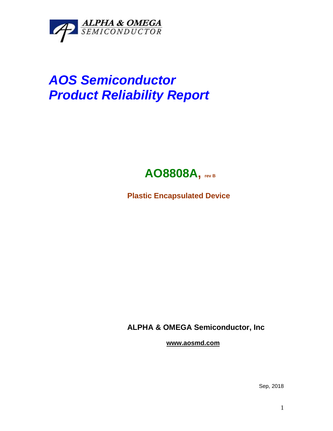

## *AOS Semiconductor Product Reliability Report*



**Plastic Encapsulated Device**

**ALPHA & OMEGA Semiconductor, Inc**

**www.aosmd.com**

Sep, 2018